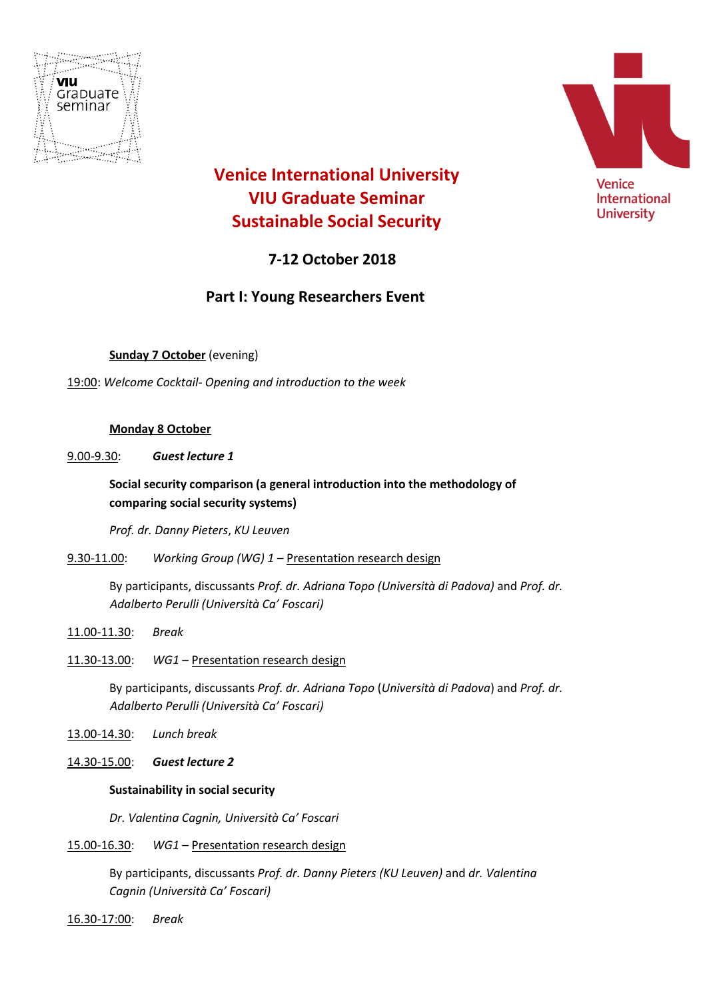



# **Venice International University VIU Graduate Seminar Sustainable Social Security**

# **7-12 October 2018**

## **Part I: Young Researchers Event**

**Sunday 7 October** (evening)

19:00: *Welcome Cocktail- Opening and introduction to the week* 

## **Monday 8 October**

9.00-9.30: *Guest lecture 1*

## **Social security comparison (a general introduction into the methodology of comparing social security systems)**

*Prof. dr. Danny Pieters*, *KU Leuven*

9.30-11.00: *Working Group (WG) 1* – Presentation research design

By participants, discussants *Prof. dr. Adriana Topo (Università di Padova)* and *Prof. dr. Adalberto Perulli (Università Ca' Foscari)*

11.00-11.30: *Break*

11.30-13.00: *WG1* – Presentation research design

By participants, discussants *Prof. dr. Adriana Topo* (*Università di Padova*) and *Prof. dr. Adalberto Perulli (Università Ca' Foscari)*

13.00-14.30: *Lunch break*

14.30-15.00: *Guest lecture 2*

## **Sustainability in social security**

*Dr. Valentina Cagnin, Università Ca' Foscari* 

#### 15.00-16.30: *WG1* – Presentation research design

By participants, discussants *Prof. dr. Danny Pieters (KU Leuven)* and *dr. Valentina Cagnin (Università Ca' Foscari)*

16.30-17:00: *Break*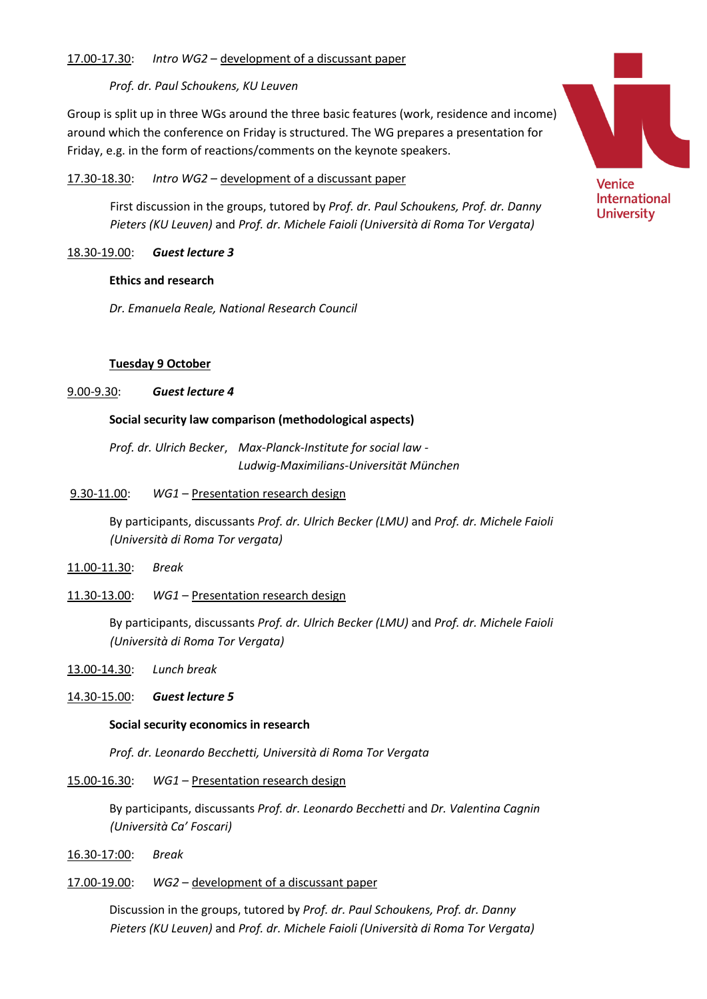## 17.00-17.30: *Intro WG2* – development of a discussant paper

## *Prof. dr. Paul Schoukens, KU Leuven*

Group is split up in three WGs around the three basic features (work, residence and income) around which the conference on Friday is structured. The WG prepares a presentation for Friday, e.g. in the form of reactions/comments on the keynote speakers.

## 17.30-18.30: *Intro WG2 –* development of a discussant paper

First discussion in the groups, tutored by *Prof. dr. Paul Schoukens, Prof. dr. Danny Pieters (KU Leuven)* and *Prof. dr. Michele Faioli (Università di Roma Tor Vergata)*

## 18.30-19.00: *Guest lecture 3*

#### **Ethics and research**

*Dr. Emanuela Reale, National Research Council*

## **Tuesday 9 October**

## 9.00-9.30: *Guest lecture 4*

## **Social security law comparison (methodological aspects)**

*Prof. dr. Ulrich Becker*, *Max-Planck-Institute for social law - Ludwig-Maximilians-Universität München*

## 9.30-11.00: *WG1* – Presentation research design

By participants, discussants *Prof. dr. Ulrich Becker (LMU)* and *Prof. dr. Michele Faioli (Università di Roma Tor vergata)*

- 11.00-11.30: *Break*
- 11.30-13.00: *WG1* Presentation research design

By participants, discussants *Prof. dr. Ulrich Becker (LMU)* and *Prof. dr. Michele Faioli (Università di Roma Tor Vergata)*

13.00-14.30: *Lunch break*

#### 14.30-15.00: *Guest lecture 5*

#### **Social security economics in research**

*Prof. dr. Leonardo Becchetti, Università di Roma Tor Vergata*

## 15.00-16.30: *WG1* – Presentation research design

By participants, discussants *Prof. dr. Leonardo Becchetti* and *Dr. Valentina Cagnin (Università Ca' Foscari)*

16.30-17:00: *Break*

#### 17.00-19.00: *WG2* – development of a discussant paper

Discussion in the groups, tutored by *Prof. dr. Paul Schoukens, Prof. dr. Danny Pieters (KU Leuven)* and *Prof. dr. Michele Faioli (Università di Roma Tor Vergata)*



International **University**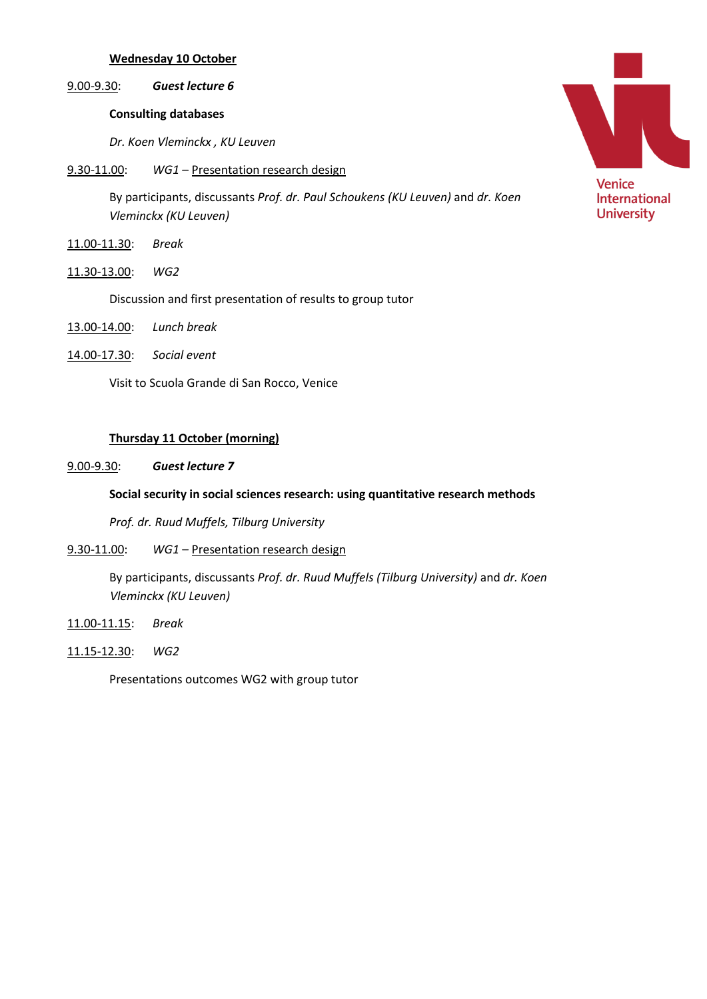## **Wednesday 10 October**

#### 9.00-9.30: *Guest lecture 6*

## **Consulting databases**

*Dr. Koen Vleminckx , KU Leuven* 

9.30-11.00: *WG1* – Presentation research design

By participants, discussants *Prof. dr. Paul Schoukens (KU Leuven)* and *dr. Koen Vleminckx (KU Leuven)*

- 11.00-11.30: *Break*
- 11.30-13.00: *WG2*

Discussion and first presentation of results to group tutor

- 13.00-14.00: *Lunch break*
- 14.00-17.30: *Social event*

Visit to Scuola Grande di San Rocco, Venice

#### **Thursday 11 October (morning)**

9.00-9.30: *Guest lecture 7*

## **Social security in social sciences research: using quantitative research methods**

*Prof. dr. Ruud Muffels, Tilburg University*

9.30-11.00: *WG1* – Presentation research design

By participants, discussants *Prof. dr. Ruud Muffels (Tilburg University)* and *dr. Koen Vleminckx (KU Leuven)*

- 11.00-11.15: *Break*
- 11.15-12.30: *WG2*

Presentations outcomes WG2 with group tutor

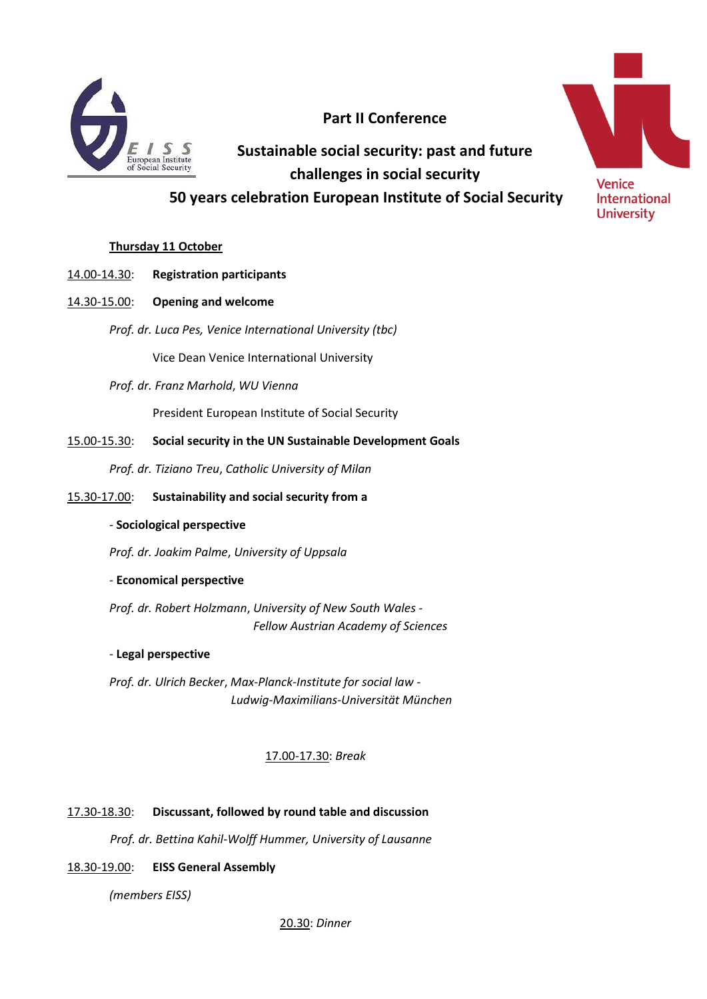

# **Part II Conference**

**Sustainable social security: past and future challenges in social security**

 **50 years celebration European Institute of Social Security**

## **Thursday 11 October**

- 14.00-14.30: **Registration participants**
- 14.30-15.00: **Opening and welcome**
	- *Prof. dr. Luca Pes, Venice International University (tbc)*

Vice Dean Venice International University

*Prof. dr. Franz Marhold*, *WU Vienna*

President European Institute of Social Security

15.00-15.30: **Social security in the UN Sustainable Development Goals**

*Prof. dr. Tiziano Treu*, *Catholic University of Milan*

- 15.30-17.00: **Sustainability and social security from a**
	- *-* **Sociological perspective**

*Prof. dr. Joakim Palme*, *University of Uppsala*

## *-* **Economical perspective**

*Prof. dr. Robert Holzmann*, *University of New South Wales - Fellow Austrian Academy of Sciences*

#### *-* **Legal perspective**

*Prof. dr. Ulrich Becker*, *Max-Planck-Institute for social law - Ludwig-Maximilians-Universität München*

## 17.00-17.30: *Break*

## 17.30-18.30: **Discussant, followed by round table and discussion**

*Prof. dr. Bettina Kahil-Wolff Hummer, University of Lausanne*

## 18.30-19.00: **EISS General Assembly**

*(members EISS)*

20.30: *Dinner*

**Venice International** 

**University**